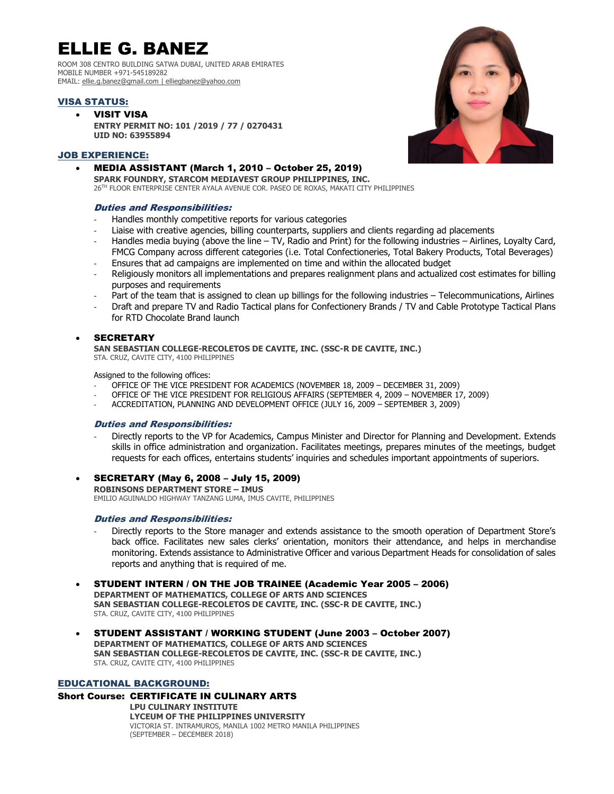# ELLIE G. BANEZ

ROOM 308 CENTRO BUILDING SATWA DUBAI, UNITED ARAB EMIRATES MOBILE NUMBER +971-545189282 EMAIL: [ellie.g.banez@gmail.com](mailto:ellie.g.banez@gmail.com) [| elliegbanez@yahoo.com](mailto:elliegbanez@yahoo.com)

# VISA STATUS:

 VISIT VISA **ENTRY PERMIT NO: 101 /2019 / 77 / 0270431 UID NO: 63955894**

# JOB EXPERIENCE:

 MEDIA ASSISTANT (March 1, 2010 – October 25, 2019) **SPARK FOUNDRY, STARCOM MEDIAVEST GROUP PHILIPPINES, INC.**

26TH FLOOR ENTERPRISE CENTER AYALA AVENUE COR. PASEO DE ROXAS, MAKATI CITY PHILIPPINES

# Duties and Responsibilities:

- Handles monthly competitive reports for various categories
- Liaise with creative agencies, billing counterparts, suppliers and clients regarding ad placements
- Handles media buying (above the line TV, Radio and Print) for the following industries Airlines, Loyalty Card, FMCG Company across different categories (i.e. Total Confectioneries, Total Bakery Products, Total Beverages)
- Ensures that ad campaigns are implemented on time and within the allocated budget
- Religiously monitors all implementations and prepares realignment plans and actualized cost estimates for billing purposes and requirements
- Part of the team that is assigned to clean up billings for the following industries Telecommunications, Airlines
- Draft and prepare TV and Radio Tactical plans for Confectionery Brands / TV and Cable Prototype Tactical Plans for RTD Chocolate Brand launch

# SECRETARY

**SAN SEBASTIAN COLLEGE-RECOLETOS DE CAVITE, INC. (SSC-R DE CAVITE, INC.)** STA. CRUZ, CAVITE CITY, 4100 PHILIPPINES

Assigned to the following offices:

- OFFICE OF THE VICE PRESIDENT FOR ACADEMICS (NOVEMBER 18, 2009 DECEMBER 31, 2009)
- OFFICE OF THE VICE PRESIDENT FOR RELIGIOUS AFFAIRS (SEPTEMBER 4, 2009 NOVEMBER 17, 2009)
- ACCREDITATION, PLANNING AND DEVELOPMENT OFFICE (JULY 16, 2009 SEPTEMBER 3, 2009)

## Duties and Responsibilities:

- Directly reports to the VP for Academics, Campus Minister and Director for Planning and Development. Extends skills in office administration and organization. Facilitates meetings, prepares minutes of the meetings, budget requests for each offices, entertains students' inquiries and schedules important appointments of superiors.
- SECRETARY (May 6, 2008 July 15, 2009) **ROBINSONS DEPARTMENT STORE – IMUS** EMILIO AGUINALDO HIGHWAY TANZANG LUMA, IMUS CAVITE, PHILIPPINES

## Duties and Responsibilities:

- Directly reports to the Store manager and extends assistance to the smooth operation of Department Store's back office. Facilitates new sales clerks' orientation, monitors their attendance, and helps in merchandise monitoring. Extends assistance to Administrative Officer and various Department Heads for consolidation of sales reports and anything that is required of me.
- STUDENT INTERN / ON THE JOB TRAINEE (Academic Year 2005 2006) **DEPARTMENT OF MATHEMATICS, COLLEGE OF ARTS AND SCIENCES SAN SEBASTIAN COLLEGE-RECOLETOS DE CAVITE, INC. (SSC-R DE CAVITE, INC.)** STA. CRUZ, CAVITE CITY, 4100 PHILIPPINES
- STUDENT ASSISTANT / WORKING STUDENT (June 2003 October 2007) **DEPARTMENT OF MATHEMATICS, COLLEGE OF ARTS AND SCIENCES SAN SEBASTIAN COLLEGE-RECOLETOS DE CAVITE, INC. (SSC-R DE CAVITE, INC.)** STA. CRUZ, CAVITE CITY, 4100 PHILIPPINES

# EDUCATIONAL BACKGROUND:

# Short Course: CERTIFICATE IN CULINARY ARTS

**LPU CULINARY INSTITUTE LYCEUM OF THE PHILIPPINES UNIVERSITY** VICTORIA ST. INTRAMUROS, MANILA 1002 METRO MANILA PHILIPPINES (SEPTEMBER – DECEMBER 2018)